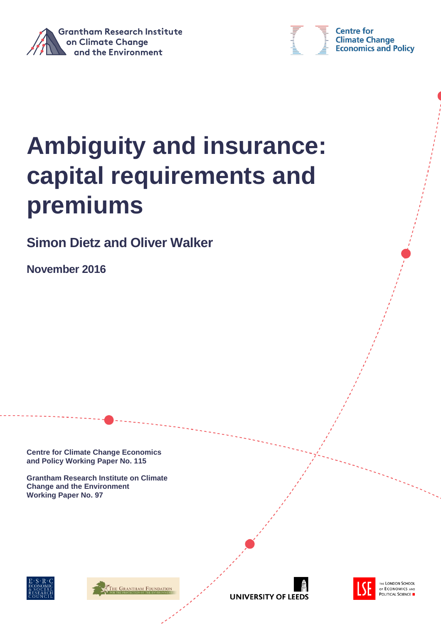



# **Ambiguity and insurance: capital requirements and premiums**

**Simon Dietz and Oliver Walker**

**November 2016**

**Centre for Climate Change Economics and Policy Working Paper No. 115**

**Grantham Research Institute on Climate Change and the Environment Working Paper No. 97**







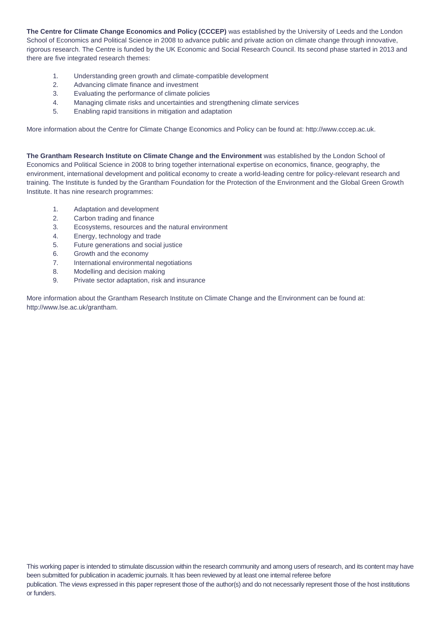**The Centre for Climate Change Economics and Policy (CCCEP)** was established by the University of Leeds and the London School of Economics and Political Science in 2008 to advance public and private action on climate change through innovative, rigorous research. The Centre is funded by the UK Economic and Social Research Council. Its second phase started in 2013 and there are five integrated research themes:

- 1. Understanding green growth and climate-compatible development
- 2. Advancing climate finance and investment
- 3. Evaluating the performance of climate policies
- 4. Managing climate risks and uncertainties and strengthening climate services
- 5. Enabling rapid transitions in mitigation and adaptation

More information about the Centre for Climate Change Economics and Policy can be found at: http://www.cccep.ac.uk.

**The Grantham Research Institute on Climate Change and the Environment** was established by the London School of Economics and Political Science in 2008 to bring together international expertise on economics, finance, geography, the environment, international development and political economy to create a world-leading centre for policy-relevant research and training. The Institute is funded by the Grantham Foundation for the Protection of the Environment and the Global Green Growth Institute. It has nine research programmes:

- 1. Adaptation and development
- 2. Carbon trading and finance
- 3. Ecosystems, resources and the natural environment
- 4. Energy, technology and trade
- 5. Future generations and social justice
- 6. Growth and the economy
- 7. International environmental negotiations
- 8. Modelling and decision making
- 9. Private sector adaptation, risk and insurance

More information about the Grantham Research Institute on Climate Change and the Environment can be found at: http://www.lse.ac.uk/grantham.

This working paper is intended to stimulate discussion within the research community and among users of research, and its content may have been submitted for publication in academic journals. It has been reviewed by at least one internal referee before publication. The views expressed in this paper represent those of the author(s) and do not necessarily represent those of the host institutions or funders.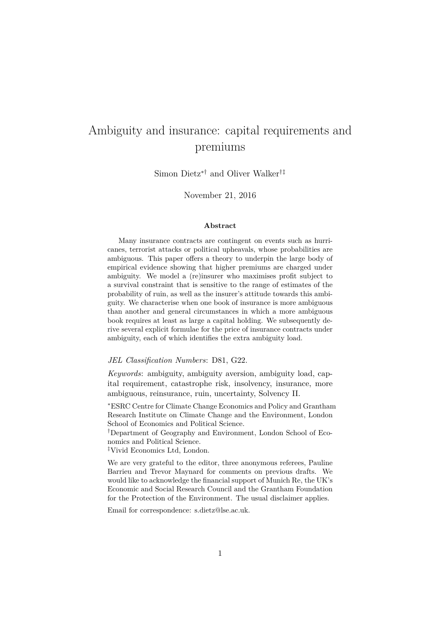## Ambiguity and insurance: capital requirements and premiums

Simon Dietz∗† and Oliver Walker†‡

November 21, 2016

#### **Abstract**

Many insurance contracts are contingent on events such as hurricanes, terrorist attacks or political upheavals, whose probabilities are ambiguous. This paper offers a theory to underpin the large body of empirical evidence showing that higher premiums are charged under ambiguity. We model a (re)insurer who maximises profit subject to a survival constraint that is sensitive to the range of estimates of the probability of ruin, as well as the insurer's attitude towards this ambiguity. We characterise when one book of insurance is more ambiguous than another and general circumstances in which a more ambiguous book requires at least as large a capital holding. We subsequently derive several explicit formulae for the price of insurance contracts under ambiguity, each of which identifies the extra ambiguity load.

#### *JEL Classification Numbers*: D81, G22.

*Keywords*: ambiguity, ambiguity aversion, ambiguity load, capital requirement, catastrophe risk, insolvency, insurance, more ambiguous, reinsurance, ruin, uncertainty, Solvency II.

<sup>∗</sup>ESRC Centre for Climate Change Economics and Policy and Grantham Research Institute on Climate Change and the Environment, London School of Economics and Political Science.

†Department of Geography and Environment, London School of Economics and Political Science.

‡Vivid Economics Ltd, London.

We are very grateful to the editor, three anonymous referees, Pauline Barrieu and Trevor Maynard for comments on previous drafts. We would like to acknowledge the financial support of Munich Re, the UK's Economic and Social Research Council and the Grantham Foundation for the Protection of the Environment. The usual disclaimer applies.

Email for correspondence: s.dietz@lse.ac.uk.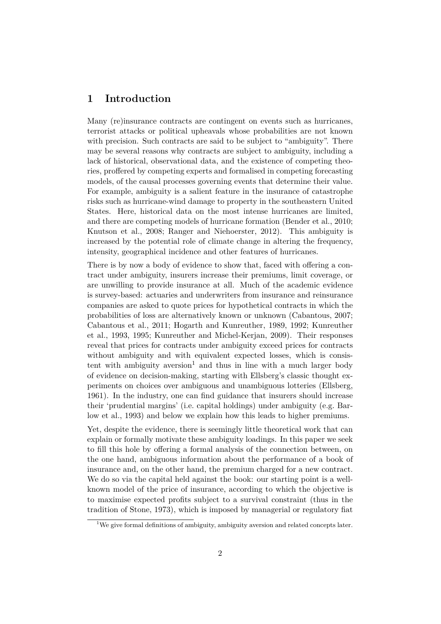## **1 Introduction**

Many (re)insurance contracts are contingent on events such as hurricanes, terrorist attacks or political upheavals whose probabilities are not known with precision. Such contracts are said to be subject to "ambiguity". There may be several reasons why contracts are subject to ambiguity, including a lack of historical, observational data, and the existence of competing theories, proffered by competing experts and formalised in competing forecasting models, of the causal processes governing events that determine their value. For example, ambiguity is a salient feature in the insurance of catastrophe risks such as hurricane-wind damage to property in the southeastern United States. Here, historical data on the most intense hurricanes are limited, and there are competing models of hurricane formation (Bender et al., 2010; Knutson et al., 2008; Ranger and Niehoerster, 2012). This ambiguity is increased by the potential role of climate change in altering the frequency, intensity, geographical incidence and other features of hurricanes.

There is by now a body of evidence to show that, faced with offering a contract under ambiguity, insurers increase their premiums, limit coverage, or are unwilling to provide insurance at all. Much of the academic evidence is survey-based: actuaries and underwriters from insurance and reinsurance companies are asked to quote prices for hypothetical contracts in which the probabilities of loss are alternatively known or unknown (Cabantous, 2007; Cabantous et al., 2011; Hogarth and Kunreuther, 1989, 1992; Kunreuther et al., 1993, 1995; Kunreuther and Michel-Kerjan, 2009). Their responses reveal that prices for contracts under ambiguity exceed prices for contracts without ambiguity and with equivalent expected losses, which is consistent with ambiguity aversion<sup>1</sup> and thus in line with a much larger body of evidence on decision-making, starting with Ellsberg's classic thought experiments on choices over ambiguous and unambiguous lotteries (Ellsberg, 1961). In the industry, one can find guidance that insurers should increase their 'prudential margins' (i.e. capital holdings) under ambiguity (e.g. Barlow et al., 1993) and below we explain how this leads to higher premiums.

Yet, despite the evidence, there is seemingly little theoretical work that can explain or formally motivate these ambiguity loadings. In this paper we seek to fill this hole by offering a formal analysis of the connection between, on the one hand, ambiguous information about the performance of a book of insurance and, on the other hand, the premium charged for a new contract. We do so via the capital held against the book: our starting point is a wellknown model of the price of insurance, according to which the objective is to maximise expected profits subject to a survival constraint (thus in the tradition of Stone, 1973), which is imposed by managerial or regulatory fiat

<sup>&</sup>lt;sup>1</sup>We give formal definitions of ambiguity, ambiguity aversion and related concepts later.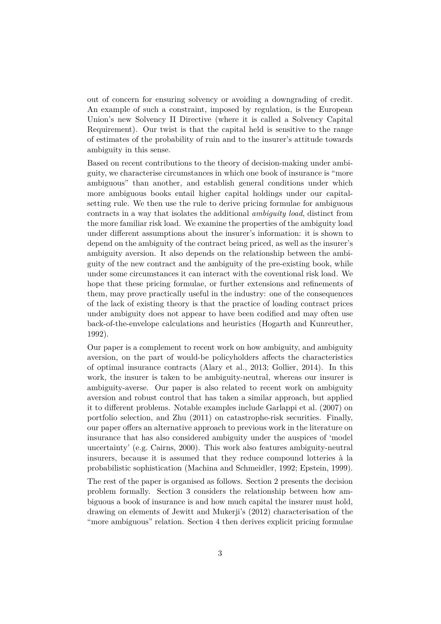out of concern for ensuring solvency or avoiding a downgrading of credit. An example of such a constraint, imposed by regulation, is the European Union's new Solvency II Directive (where it is called a Solvency Capital Requirement). Our twist is that the capital held is sensitive to the range of estimates of the probability of ruin and to the insurer's attitude towards ambiguity in this sense.

Based on recent contributions to the theory of decision-making under ambiguity, we characterise circumstances in which one book of insurance is "more ambiguous" than another, and establish general conditions under which more ambiguous books entail higher capital holdings under our capitalsetting rule. We then use the rule to derive pricing formulae for ambiguous contracts in a way that isolates the additional *ambiguity load*, distinct from the more familiar risk load. We examine the properties of the ambiguity load under different assumptions about the insurer's information: it is shown to depend on the ambiguity of the contract being priced, as well as the insurer's ambiguity aversion. It also depends on the relationship between the ambiguity of the new contract and the ambiguity of the pre-existing book, while under some circumstances it can interact with the coventional risk load. We hope that these pricing formulae, or further extensions and refinements of them, may prove practically useful in the industry: one of the consequences of the lack of existing theory is that the practice of loading contract prices under ambiguity does not appear to have been codified and may often use back-of-the-envelope calculations and heuristics (Hogarth and Kunreuther, 1992).

Our paper is a complement to recent work on how ambiguity, and ambiguity aversion, on the part of would-be policyholders affects the characteristics of optimal insurance contracts (Alary et al., 2013; Gollier, 2014). In this work, the insurer is taken to be ambiguity-neutral, whereas our insurer is ambiguity-averse. Our paper is also related to recent work on ambiguity aversion and robust control that has taken a similar approach, but applied it to different problems. Notable examples include Garlappi et al. (2007) on portfolio selection, and Zhu (2011) on catastrophe-risk securities. Finally, our paper offers an alternative approach to previous work in the literature on insurance that has also considered ambiguity under the auspices of 'model uncertainty' (e.g. Cairns, 2000). This work also features ambiguity-neutral insurers, because it is assumed that they reduce compound lotteries à la probabilistic sophistication (Machina and Schmeidler, 1992; Epstein, 1999).

The rest of the paper is organised as follows. Section 2 presents the decision problem formally. Section 3 considers the relationship between how ambiguous a book of insurance is and how much capital the insurer must hold, drawing on elements of Jewitt and Mukerji's (2012) characterisation of the "more ambiguous" relation. Section 4 then derives explicit pricing formulae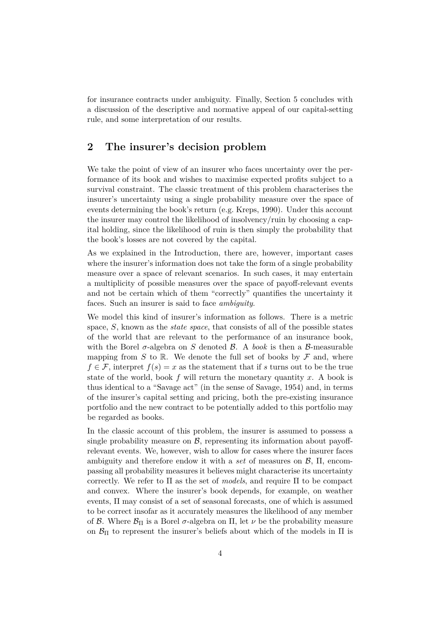for insurance contracts under ambiguity. Finally, Section 5 concludes with a discussion of the descriptive and normative appeal of our capital-setting rule, and some interpretation of our results.

## **2 The insurer's decision problem**

We take the point of view of an insurer who faces uncertainty over the performance of its book and wishes to maximise expected profits subject to a survival constraint. The classic treatment of this problem characterises the insurer's uncertainty using a single probability measure over the space of events determining the book's return (e.g. Kreps, 1990). Under this account the insurer may control the likelihood of insolvency/ruin by choosing a capital holding, since the likelihood of ruin is then simply the probability that the book's losses are not covered by the capital.

As we explained in the Introduction, there are, however, important cases where the insurer's information does not take the form of a single probability measure over a space of relevant scenarios. In such cases, it may entertain a multiplicity of possible measures over the space of payoff-relevant events and not be certain which of them "correctly" quantifies the uncertainty it faces. Such an insurer is said to face *ambiguity*.

We model this kind of insurer's information as follows. There is a metric space, *S*, known as the *state space*, that consists of all of the possible states of the world that are relevant to the performance of an insurance book, with the Borel  $\sigma$ -algebra on *S* denoted *B*. A *book* is then a *B*-measurable mapping from *S* to R. We denote the full set of books by  $\mathcal F$  and, where  $f \in \mathcal{F}$ , interpret  $f(s) = x$  as the statement that if *s* turns out to be the true state of the world, book *f* will return the monetary quantity *x*. A book is thus identical to a "Savage act" (in the sense of Savage, 1954) and, in terms of the insurer's capital setting and pricing, both the pre-existing insurance portfolio and the new contract to be potentially added to this portfolio may be regarded as books.

In the classic account of this problem, the insurer is assumed to possess a single probability measure on  $\beta$ , representing its information about payoffrelevant events. We, however, wish to allow for cases where the insurer faces ambiguity and therefore endow it with a *set* of measures on B, Π, encompassing all probability measures it believes might characterise its uncertainty correctly. We refer to Π as the set of *models*, and require Π to be compact and convex. Where the insurer's book depends, for example, on weather events, Π may consist of a set of seasonal forecasts, one of which is assumed to be correct insofar as it accurately measures the likelihood of any member of B. Where  $\mathcal{B}_{\Pi}$  is a Borel  $\sigma$ -algebra on  $\Pi$ , let  $\nu$  be the probability measure on  $\mathcal{B}_{\Pi}$  to represent the insurer's beliefs about which of the models in  $\Pi$  is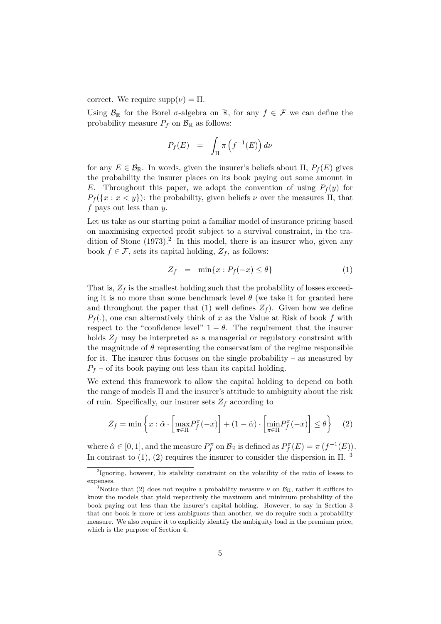correct. We require  $supp(\nu) = \Pi$ .

Using  $\mathcal{B}_{\mathbb{R}}$  for the Borel  $\sigma$ -algebra on  $\mathbb{R}$ , for any  $f \in \mathcal{F}$  we can define the probability measure  $P_f$  on  $\mathcal{B}_{\mathbb{R}}$  as follows:

$$
P_f(E) = \int_{\Pi} \pi \left( f^{-1}(E) \right) d\nu
$$

for any  $E \in \mathcal{B}_{\mathbb{R}}$ . In words, given the insurer's beliefs about  $\Pi$ ,  $P_f(E)$  gives the probability the insurer places on its book paying out some amount in *E*. Throughout this paper, we adopt the convention of using  $P_f(y)$  for  $P_f(\{x : x < y\})$ : the probability, given beliefs *ν* over the measures Π, that *f* pays out less than *y*.

Let us take as our starting point a familiar model of insurance pricing based on maximising expected profit subject to a survival constraint, in the tradition of Stone  $(1973).<sup>2</sup>$  In this model, there is an insurer who, given any book  $f \in \mathcal{F}$ , sets its capital holding,  $Z_f$ , as follows:

$$
Z_f = \min\{x : P_f(-x) \le \theta\} \tag{1}
$$

That is,  $Z_f$  is the smallest holding such that the probability of losses exceeding it is no more than some benchmark level  $\theta$  (we take it for granted here and throughout the paper that (1) well defines  $Z_f$ ). Given how we define  $P_f(.)$ , one can alternatively think of *x* as the Value at Risk of book *f* with respect to the "confidence level"  $1 - \theta$ . The requirement that the insurer holds  $Z_f$  may be interpreted as a managerial or regulatory constraint with the magnitude of  $\theta$  representing the conservatism of the regime responsible for it. The insurer thus focuses on the single probability – as measured by  $P_f$  – of its book paying out less than its capital holding.

We extend this framework to allow the capital holding to depend on both the range of models Π and the insurer's attitude to ambiguity about the risk of ruin. Specifically, our insurer sets  $Z_f$  according to

$$
Z_f = \min\left\{x : \hat{\alpha} \cdot \left[\max_{\pi \in \Pi} P_f^{\pi}(-x)\right] + (1 - \hat{\alpha}) \cdot \left[\min_{\pi \in \Pi} P_f^{\pi}(-x)\right] \le \theta\right\} \tag{2}
$$

where  $\hat{\alpha} \in [0, 1]$ , and the measure  $P_f^{\pi}$  on  $\mathcal{B}_{\mathbb{R}}$  is defined as  $P_f^{\pi}(E) = \pi(f^{-1}(E)).$ In contrast to  $(1)$ ,  $(2)$  requires the insurer to consider the dispersion in  $\Pi$ .<sup>3</sup>

<sup>&</sup>lt;sup>2</sup>Ignoring, however, his stability constraint on the volatility of the ratio of losses to expenses.

<sup>&</sup>lt;sup>3</sup>Notice that (2) does not require a probability measure  $\nu$  on  $\mathcal{B}_{\Pi}$ , rather it suffices to know the models that yield respectively the maximum and minimum probability of the book paying out less than the insurer's capital holding. However, to say in Section 3 that one book is more or less ambiguous than another, we do require such a probability measure. We also require it to explicitly identify the ambiguity load in the premium price, which is the purpose of Section 4.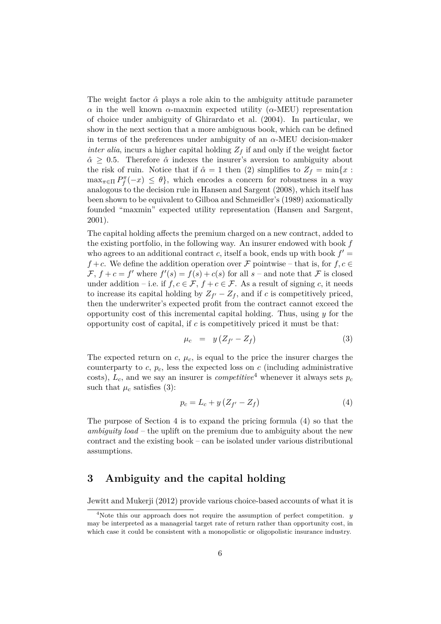The weight factor  $\hat{\alpha}$  plays a role akin to the ambiguity attitude parameter *α* in the well known *α*-maxmin expected utility (*α*-MEU) representation of choice under ambiguity of Ghirardato et al. (2004). In particular, we show in the next section that a more ambiguous book, which can be defined in terms of the preferences under ambiguity of an *α*-MEU decision-maker *inter alia*, incurs a higher capital holding  $Z_f$  if and only if the weight factor  $\hat{\alpha} \geq 0.5$ . Therefore  $\hat{\alpha}$  indexes the insurer's aversion to ambiguity about the risk of ruin. Notice that if  $\hat{\alpha} = 1$  then (2) simplifies to  $Z_f = \min\{x : f(x) = 1\}$  $\max_{\pi \in \Pi} P_f^{\pi}(-x) \leq \theta$ , which encodes a concern for robustness in a way analogous to the decision rule in Hansen and Sargent (2008), which itself has been shown to be equivalent to Gilboa and Schmeidler's (1989) axiomatically founded "maxmin" expected utility representation (Hansen and Sargent, 2001).

The capital holding affects the premium charged on a new contract, added to the existing portfolio, in the following way. An insurer endowed with book *f* who agrees to an additional contract *c*, itself a book, ends up with book  $f'$ *f* + *c*. We define the addition operation over *F* pointwise – that is, for *f*, *c* ∈  $\mathcal{F}, f + c = f'$  where  $f'(s) = f(s) + c(s)$  for all  $s$  – and note that  $\mathcal F$  is closed under addition – i.e. if  $f, c \in \mathcal{F}, f + c \in \mathcal{F}$ . As a result of signing *c*, it needs to increase its capital holding by  $Z_{f'} - Z_f$ , and if *c* is competitively priced, then the underwriter's expected profit from the contract cannot exceed the opportunity cost of this incremental capital holding. Thus, using *y* for the opportunity cost of capital, if *c* is competitively priced it must be that:

$$
\mu_c = y \left( Z_{f'} - Z_f \right) \tag{3}
$$

The expected return on  $c, \mu_c$ , is equal to the price the insurer charges the counterparty to  $c, p_c$ , less the expected loss on  $c$  (including administrative costs),  $L_c$ , and we say an insurer is *competitive*<sup>4</sup> whenever it always sets  $p_c$ such that  $\mu_c$  satisfies (3):

$$
p_c = L_c + y \left( Z_{f'} - Z_f \right) \tag{4}
$$

The purpose of Section 4 is to expand the pricing formula (4) so that the *ambiguity load* – the uplift on the premium due to ambiguity about the new contract and the existing book – can be isolated under various distributional assumptions.

## **3 Ambiguity and the capital holding**

Jewitt and Mukerji (2012) provide various choice-based accounts of what it is

<sup>4</sup>Note this our approach does not require the assumption of perfect competition. *y* may be interpreted as a managerial target rate of return rather than opportunity cost, in which case it could be consistent with a monopolistic or oligopolistic insurance industry.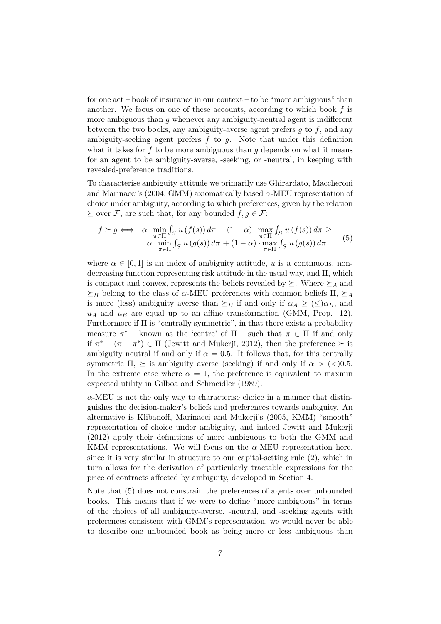for one act – book of insurance in our context – to be "more ambiguous" than another. We focus on one of these accounts, according to which book *f* is more ambiguous than *q* whenever any ambiguity-neutral agent is indifferent between the two books, any ambiguity-averse agent prefers *g* to *f*, and any ambiguity-seeking agent prefers *f* to *g*. Note that under this definition what it takes for f to be more ambiguous than g depends on what it means for an agent to be ambiguity-averse, -seeking, or -neutral, in keeping with revealed-preference traditions.

To characterise ambiguity attitude we primarily use Ghirardato, Maccheroni and Marinacci's (2004, GMM) axiomatically based *α*-MEU representation of choice under ambiguity, according to which preferences, given by the relation  $\succeq$  over F, are such that, for any bounded  $f, g \in \mathcal{F}$ :

$$
f \succeq g \iff \alpha \cdot \min_{\pi \in \Pi} \int_{S} u(f(s)) d\pi + (1 - \alpha) \cdot \max_{\pi \in \Pi} \int_{S} u(f(s)) d\pi \ge
$$
  

$$
\alpha \cdot \min_{\pi \in \Pi} \int_{S} u(g(s)) d\pi + (1 - \alpha) \cdot \max_{\pi \in \Pi} \int_{S} u(g(s)) d\pi \qquad (5)
$$

where  $\alpha \in [0, 1]$  is an index of ambiguity attitude, *u* is a continuous, nondecreasing function representing risk attitude in the usual way, and Π, which is compact and convex, represents the beliefs revealed by  $\succeq$ . Where  $\succeq_A$  and  $\succeq_B$  belong to the class of *α*-MEU preferences with common beliefs  $\Pi$ ,  $\succeq_A$ is more (less) ambiguity averse than  $\succeq_B$  if and only if  $\alpha_A \geq (\leq) \alpha_B$ , and  $u_A$  and  $u_B$  are equal up to an affine transformation (GMM, Prop. 12). Furthermore if Π is "centrally symmetric", in that there exists a probability measure  $\pi^*$  – known as the 'centre' of  $\Pi$  – such that  $\pi \in \Pi$  if and only if  $\pi^* - (\pi - \pi^*) \in \Pi$  (Jewitt and Mukerji, 2012), then the preference  $\succeq$  is ambiguity neutral if and only if  $\alpha = 0.5$ . It follows that, for this centrally symmetric  $\Pi$ ,  $\succeq$  is ambiguity averse (seeking) if and only if  $\alpha >$  (<)0.5. In the extreme case where  $\alpha = 1$ , the preference is equivalent to maxmin expected utility in Gilboa and Schmeidler (1989).

*α*-MEU is not the only way to characterise choice in a manner that distinguishes the decision-maker's beliefs and preferences towards ambiguity. An alternative is Klibanoff, Marinacci and Mukerji's (2005, KMM) "smooth" representation of choice under ambiguity, and indeed Jewitt and Mukerji (2012) apply their definitions of more ambiguous to both the GMM and KMM representations. We will focus on the *α*-MEU representation here, since it is very similar in structure to our capital-setting rule (2), which in turn allows for the derivation of particularly tractable expressions for the price of contracts affected by ambiguity, developed in Section 4.

Note that (5) does not constrain the preferences of agents over unbounded books. This means that if we were to define "more ambiguous" in terms of the choices of all ambiguity-averse, -neutral, and -seeking agents with preferences consistent with GMM's representation, we would never be able to describe one unbounded book as being more or less ambiguous than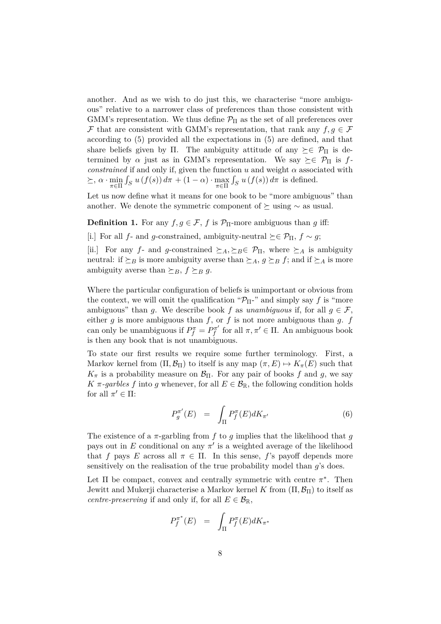another. And as we wish to do just this, we characterise "more ambiguous" relative to a narrower class of preferences than those consistent with GMM's representation. We thus define  $\mathcal{P}_{\Pi}$  as the set of all preferences over F that are consistent with GMM's representation, that rank any  $f, g \in \mathcal{F}$ according to (5) provided all the expectations in (5) are defined, and that share beliefs given by Π. The ambiguity attitude of any  $\succeq \in \mathcal{P}_{\Pi}$  is determined by  $\alpha$  just as in GMM's representation. We say  $\succeq \in \mathcal{P}_{\Pi}$  is  $f$ *constrained* if and only if, given the function  $u$  and weight  $\alpha$  associated with  $\geq$ ,  $\alpha \cdot \min_{\pi \in \Pi} \int_S u(f(s)) d\pi + (1 - \alpha) \cdot \max_{\pi \in \Pi} \int_S u(f(s)) d\pi$  is defined.

Let us now define what it means for one book to be "more ambiguous" than another. We denote the symmetric component of  $\succeq$  using  $\sim$  as usual.

**Definition 1.** For any  $f, g \in \mathcal{F}$ , *f* is  $\mathcal{P}_{\Pi}$ -more ambiguous than *g* iff:

[i.] For all *f*- and *g*-constrained, ambiguity-neutral  $\succeq \epsilon \mathcal{P}_π$ ,  $f \sim q$ ;

[ii.] For any *f*- and *g*-constrained  $\succeq_A, \succeq_B \in \mathcal{P}_{\Pi}$ , where  $\succeq_A$  is ambiguity neutral: if  $\succeq_B$  is more ambiguity averse than  $\succeq_A$ ,  $g \succeq_B f$ ; and if  $\succeq_A$  is more ambiguity averse than  $\succeq_B$ ,  $f \succeq_B g$ .

Where the particular configuration of beliefs is unimportant or obvious from the context, we will omit the qualification " $\mathcal{P}_{\Pi}$ -" and simply say f is "more ambiguous" than *g*. We describe book *f* as *unambiguous* if, for all  $g \in \mathcal{F}$ , either  $g$  is more ambiguous than  $f$ , or  $f$  is not more ambiguous than  $g$ .  $f$ can only be unambiguous if  $P_f^{\pi} = P_f^{\pi'}$  $f_f^{\pi'}$  for all  $\pi, \pi' \in \Pi$ . An ambiguous book is then any book that is not unambiguous.

To state our first results we require some further terminology. First, a Markov kernel from  $(\Pi, \mathcal{B}_{\Pi})$  to itself is any map  $(\pi, E) \mapsto K_{\pi}(E)$  such that  $K_{\pi}$  is a probability measure on  $\mathcal{B}_{\Pi}$ . For any pair of books *f* and *g*, we say *K*  $\pi$ -*garbles f* into *g* whenever, for all  $E \in \mathcal{B}_{\mathbb{R}}$ , the following condition holds for all  $\pi' \in \Pi$ :

$$
P_g^{\pi'}(E) = \int_{\Pi} P_f^{\pi}(E) dK_{\pi'} \tag{6}
$$

The existence of a  $\pi$ -garbling from  $f$  to  $q$  implies that the likelihood that  $q$ pays out in  $E$  conditional on any  $\pi'$  is a weighted average of the likelihood that *f* pays *E* across all  $\pi \in \Pi$ . In this sense, *f*'s payoff depends more sensitively on the realisation of the true probability model than *g*'s does.

Let  $\Pi$  be compact, convex and centrally symmetric with centre  $\pi^*$ . Then Jewitt and Mukerji characterise a Markov kernel *K* from  $(\Pi, \mathcal{B}_{\Pi})$  to itself as *centre-preserving* if and only if, for all  $E \in \mathcal{B}_{\mathbb{R}}$ ,

$$
P_f^{\pi^*}(E) = \int_{\Pi} P_f^{\pi}(E) dK_{\pi^*}
$$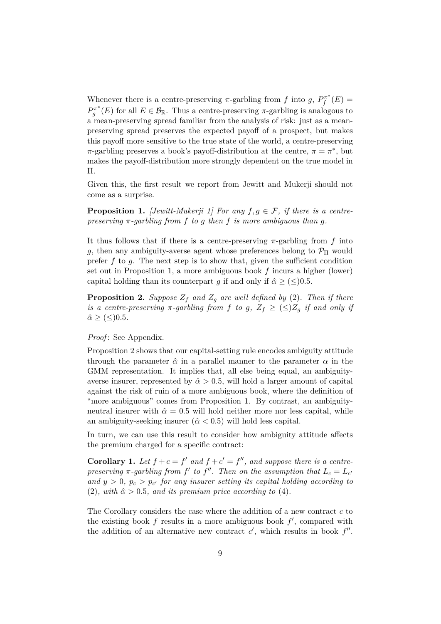Whenever there is a centre-preserving  $\pi$ -garbling from *f* into *g*,  $P_f^{\pi^*}$  $P_f^{\pi^*}(E) =$  $P_g^{\pi^*}(E)$  for all  $E \in \mathcal{B}_{\mathbb{R}}$ . Thus a centre-preserving  $\pi$ -garbling is analogous to a mean-preserving spread familiar from the analysis of risk: just as a meanpreserving spread preserves the expected payoff of a prospect, but makes this payoff more sensitive to the true state of the world, a centre-preserving *π*-garbling preserves a book's payoff-distribution at the centre,  $\pi = \pi^*$ , but makes the payoff-distribution more strongly dependent on the true model in Π.

Given this, the first result we report from Jewitt and Mukerji should not come as a surprise.

**Proposition 1.** *[Jewitt-Mukerji 1] For any*  $f, g \in \mathcal{F}$ , *if there is a centrepreserving π-garbling from f to g then f is more ambiguous than g.*

It thus follows that if there is a centre-preserving *π*-garbling from *f* into *g*, then any ambiguity-averse agent whose preferences belong to  $\mathcal{P}_{\Pi}$  would prefer *f* to *g*. The next step is to show that, given the sufficient condition set out in Proposition 1, a more ambiguous book *f* incurs a higher (lower) capital holding than its counterpart *g* if and only if  $\hat{\alpha} \geq (\leq)0.5$ .

**Proposition 2.** *Suppose*  $Z_f$  *and*  $Z_g$  *are well defined by* (2)*. Then if there is a centre-preserving*  $\pi$ -garbling from f to g,  $Z_f \geq (\leq)Z_q$  if and only if  $\hat{\alpha} \geq (\leq)0.5$ *.* 

*Proof*: See Appendix.

Proposition 2 shows that our capital-setting rule encodes ambiguity attitude through the parameter  $\hat{\alpha}$  in a parallel manner to the parameter  $\alpha$  in the GMM representation. It implies that, all else being equal, an ambiguityaverse insurer, represented by  $\hat{\alpha} > 0.5$ , will hold a larger amount of capital against the risk of ruin of a more ambiguous book, where the definition of "more ambiguous" comes from Proposition 1. By contrast, an ambiguityneutral insurer with  $\hat{\alpha} = 0.5$  will hold neither more nor less capital, while an ambiguity-seeking insurer  $(\hat{\alpha} < 0.5)$  will hold less capital.

In turn, we can use this result to consider how ambiguity attitude affects the premium charged for a specific contract:

**Corollary 1.** Let  $f + c = f'$  and  $f + c' = f''$ , and suppose there is a centre*preserving*  $\pi$ -garbling from f' to f". Then on the assumption that  $L_c = L_{c}$ and  $y > 0$ ,  $p_c > p_{c'}$  for any insurer setting its capital holding according to (2), with  $\hat{\alpha} > 0.5$ , and its premium price according to (4).

The Corollary considers the case where the addition of a new contract *c* to the existing book  $f$  results in a more ambiguous book  $f'$ , compared with the addition of an alternative new contract  $c'$ , which results in book  $f''$ .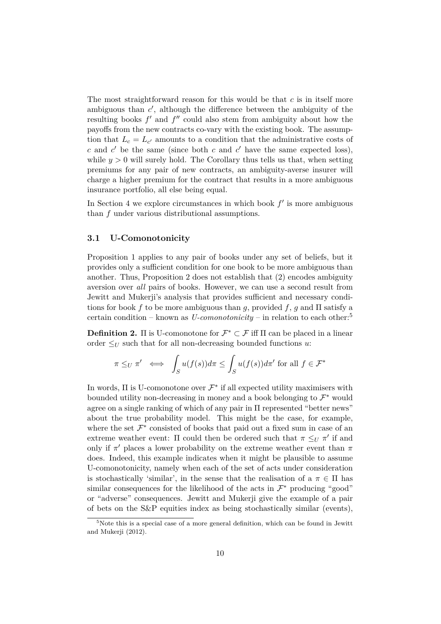The most straightforward reason for this would be that *c* is in itself more ambiguous than  $c'$ , although the difference between the ambiguity of the resulting books  $f'$  and  $f''$  could also stem from ambiguity about how the payoffs from the new contracts co-vary with the existing book. The assumption that  $L_c = L_{c'}$  amounts to a condition that the administrative costs of  $c$  and  $c'$  be the same (since both  $c$  and  $c'$  have the same expected loss), while  $y > 0$  will surely hold. The Corollary thus tells us that, when setting premiums for any pair of new contracts, an ambiguity-averse insurer will charge a higher premium for the contract that results in a more ambiguous insurance portfolio, all else being equal.

In Section 4 we explore circumstances in which book  $f'$  is more ambiguous than *f* under various distributional assumptions.

#### **3.1 U-Comonotonicity**

Proposition 1 applies to any pair of books under any set of beliefs, but it provides only a sufficient condition for one book to be more ambiguous than another. Thus, Proposition 2 does not establish that (2) encodes ambiguity aversion over *all* pairs of books. However, we can use a second result from Jewitt and Mukerji's analysis that provides sufficient and necessary conditions for book *f* to be more ambiguous than *g*, provided *f*, *g* and  $\Pi$  satisfy a certain condition – known as  $U$ -comonotonicity – in relation to each other:<sup>5</sup>

**Definition 2.**  $\Pi$  is U-comonotone for  $\mathcal{F}^* \subset \mathcal{F}$  iff  $\Pi$  can be placed in a linear order  $\leq_U$  such that for all non-decreasing bounded functions *u*:

$$
\pi \leq_U \pi' \iff \int_S u(f(s))d\pi \leq \int_S u(f(s))d\pi' \text{ for all } f \in \mathcal{F}^*
$$

In words,  $\Pi$  is U-comonotone over  $\mathcal{F}^*$  if all expected utility maximisers with bounded utility non-decreasing in money and a book belonging to  $\mathcal{F}^*$  would agree on a single ranking of which of any pair in Π represented "better news" about the true probability model. This might be the case, for example, where the set  $\mathcal{F}^*$  consisted of books that paid out a fixed sum in case of an extreme weather event:  $\Pi$  could then be ordered such that  $\pi \leq_U \pi'$  if and only if  $\pi'$  places a lower probability on the extreme weather event than  $\pi$ does. Indeed, this example indicates when it might be plausible to assume U-comonotonicity, namely when each of the set of acts under consideration is stochastically 'similar', in the sense that the realisation of a  $\pi \in \Pi$  has similar consequences for the likelihood of the acts in  $\mathcal{F}^*$  producing "good" or "adverse" consequences. Jewitt and Mukerji give the example of a pair of bets on the S&P equities index as being stochastically similar (events),

 $5$ Note this is a special case of a more general definition, which can be found in Jewitt and Mukerji (2012).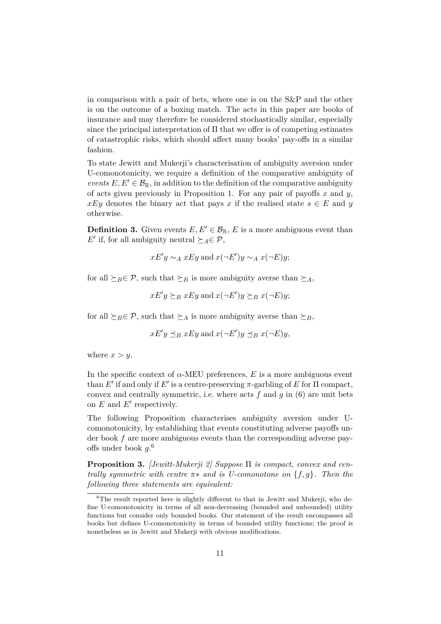in comparison with a pair of bets, where one is on the S&P and the other is on the outcome of a boxing match. The acts in this paper are books of insurance and may therefore be considered stochastically similar, especially since the principal interpretation of Π that we offer is of competing estimates of catastrophic risks, which should affect many books' pay-offs in a similar fashion.

To state Jewitt and Mukerji's characterisation of ambiguity aversion under U-comonotonicity, we require a definition of the comparative ambiguity of *events*  $E, E' \in \mathcal{B}_{\mathbb{R}}$ , in addition to the definition of the comparative ambiguity of acts given previously in Proposition 1. For any pair of payoffs *x* and *y*, *xEy* denotes the binary act that pays *x* if the realised state  $s \in E$  and *y* otherwise.

**Definition 3.** Given events  $E, E' \in \mathcal{B}_{\mathbb{R}}, E$  is a more ambiguous event than *E*<sup> $\prime$ </sup> if, for all ambiguity neutral  $\succeq_A \in \mathcal{P}$ ,

$$
xE'y \sim_A xEy
$$
 and  $x(\neg E')y \sim_A x(\neg E)y;$ 

for all  $\succeq_B \in \mathcal{P}$ , such that  $\succeq_B$  is more ambiguity averse than  $\succeq_A$ ,

 $xE'y \succeq_B xEy$  and  $x(\neg E')y \succeq_B x(\neg E)y$ ;

for all  $\succeq_B \in \mathcal{P}$ , such that  $\succeq_A$  is more ambiguity averse than  $\succeq_B$ ,

$$
xE'y \leq_B xEy
$$
 and  $x(\neg E')y \leq_B x(\neg E)y$ ,

where  $x > y$ .

In the specific context of  $\alpha$ -MEU preferences, *E* is a more ambiguous event than  $E'$  if and only if  $E'$  is a centre-preserving  $\pi$ -garbling of  $E$  for  $\Pi$  compact, convex and centrally symmetric, i.e. where acts *f* and *g* in (6) are unit bets on  $E$  and  $E'$  respectively.

The following Proposition characterises ambiguity aversion under Ucomonotonicity, by establishing that events constituting adverse payoffs under book *f* are more ambiguous events than the corresponding adverse payoffs under book *g*. 6

**Proposition 3.** *[Jewitt-Mukerji 2] Suppose* Π *is compact, convex and centrally symmetric with centre π*∗ *and is U-comonotone on* {*f, g*}*. Then the following three statements are equivalent:*

 ${}^{6}$ The result reported here is slightly different to that in Jewitt and Mukerji, who define U-comonotonicity in terms of all non-decreasing (bounded and unbounded) utility functions but consider only bounded books. Our statement of the result encompasses all books but defines U-comonotonicity in terms of bounded utility functions; the proof is nonetheless as in Jewitt and Mukerji with obvious modifications.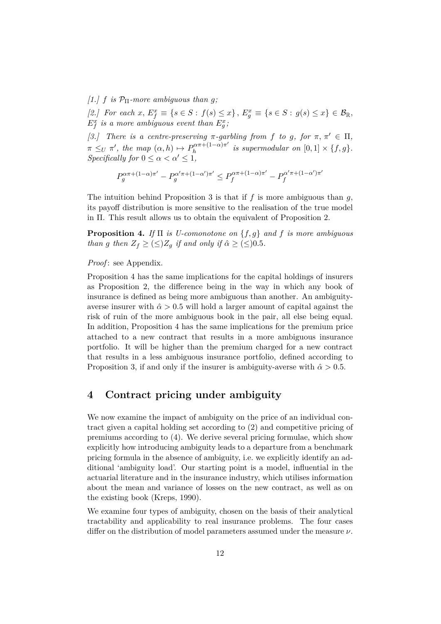$[1.]$  *f is*  $\mathcal{P}_{\Pi}$ -more ambiguous than *g*;

 $[2.]$  For each  $x, E_f^x \equiv \{s \in S : f(s) \leq x\}, E_g^x \equiv \{s \in S : g(s) \leq x\} \in \mathcal{B}_{\mathbb{R}},$  $E_f^x$  is a more ambiguous event than  $E_g^x$ ;

*[3.]* There is a centre-preserving  $\pi$ -garbling from f to g, for  $\pi$ ,  $\pi' \in \Pi$ ,  $\pi \leq U \pi'$ , the map  $(\alpha, h) \mapsto P_h^{\alpha \pi + (1-\alpha)\pi'}$  $\int_{h}^{a\pi + (1-a)\pi}$  *is supermodular on*  $[0,1] \times \{f,g\}.$ *Specifically for*  $0 \leq \alpha < \alpha' \leq 1$ ,

$$
P_g^{\alpha\pi+(1-\alpha)\pi'}-P_g^{\alpha'\pi+(1-\alpha')\pi'}\leq P_f^{\alpha\pi+(1-\alpha)\pi'}-P_f^{\alpha'\pi+(1-\alpha')\pi'}
$$

The intuition behind Proposition 3 is that if *f* is more ambiguous than *g*, its payoff distribution is more sensitive to the realisation of the true model in Π. This result allows us to obtain the equivalent of Proposition 2.

**Proposition 4.** *If* Π *is U-comonotone on* {*f, g*} *and f is more ambiguous than g then*  $Z_f \geq (\leq)Z_q$  *if and only if*  $\hat{\alpha} \geq (\leq)0.5$ *.* 

#### *Proof*: see Appendix.

Proposition 4 has the same implications for the capital holdings of insurers as Proposition 2, the difference being in the way in which any book of insurance is defined as being more ambiguous than another. An ambiguityaverse insurer with  $\hat{\alpha} > 0.5$  will hold a larger amount of capital against the risk of ruin of the more ambiguous book in the pair, all else being equal. In addition, Proposition 4 has the same implications for the premium price attached to a new contract that results in a more ambiguous insurance portfolio. It will be higher than the premium charged for a new contract that results in a less ambiguous insurance portfolio, defined according to Proposition 3, if and only if the insurer is ambiguity-averse with  $\hat{\alpha} > 0.5$ .

### **4 Contract pricing under ambiguity**

We now examine the impact of ambiguity on the price of an individual contract given a capital holding set according to (2) and competitive pricing of premiums according to (4). We derive several pricing formulae, which show explicitly how introducing ambiguity leads to a departure from a benchmark pricing formula in the absence of ambiguity, i.e. we explicitly identify an additional 'ambiguity load'. Our starting point is a model, influential in the actuarial literature and in the insurance industry, which utilises information about the mean and variance of losses on the new contract, as well as on the existing book (Kreps, 1990).

We examine four types of ambiguity, chosen on the basis of their analytical tractability and applicability to real insurance problems. The four cases differ on the distribution of model parameters assumed under the measure *ν*.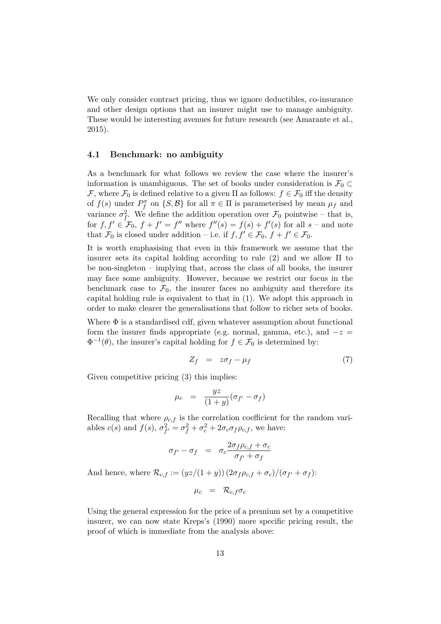We only consider contract pricing, thus we ignore deductibles, co-insurance and other design options that an insurer might use to manage ambiguity. These would be interesting avenues for future research (see Amarante et al., 2015).

#### **4.1 Benchmark: no ambiguity**

As a benchmark for what follows we review the case where the insurer's information is unambiguous. The set of books under consideration is  $\mathcal{F}_0 \subset$ F, where  $\mathcal{F}_0$  is defined relative to a given  $\Pi$  as follows:  $f \in \mathcal{F}_0$  iff the density of  $f(s)$  under  $P_f^{\pi}$  on  $\{S, \mathcal{B}\}\)$  for all  $\pi \in \Pi$  is parameterised by mean  $\mu_f$  and variance  $\sigma_f^2$ . We define the addition operation over  $\mathcal{F}_0$  pointwise – that is, for  $f, f' \in \mathcal{F}_0$ ,  $f + f' = f''$  where  $f''(s) = f(s) + f'(s)$  for all  $s$  – and note that  $\mathcal{F}_0$  is closed under addition – i.e. if  $f, f' \in \mathcal{F}_0, f + f' \in \mathcal{F}_0$ .

It is worth emphasising that even in this framework we assume that the insurer sets its capital holding according to rule  $(2)$  and we allow  $\Pi$  to be non-singleton – implying that, across the class of all books, the insurer may face some ambiguity. However, because we restrict our focus in the benchmark case to  $\mathcal{F}_0$ , the insurer faces no ambiguity and therefore its capital holding rule is equivalent to that in (1). We adopt this approach in order to make clearer the generalisations that follow to richer sets of books.

Where  $\Phi$  is a standardised cdf, given whatever assumption about functional form the insurer finds appropriate (e.g. normal, gamma, etc.), and  $-z =$  $\Phi^{-1}(\theta)$ , the insurer's capital holding for  $f \in \mathcal{F}_0$  is determined by:

$$
Z_f = z\sigma_f - \mu_f \tag{7}
$$

Given competitive pricing  $(3)$  this implies:

$$
\mu_c = \frac{yz}{(1+y)}(\sigma_{f'} - \sigma_f)
$$

Recalling that where  $\rho_{c,f}$  is the correlation coefficient for the random variables  $c(s)$  and  $f(s)$ ,  $\sigma_{f'}^2 = \sigma_f^2 + \sigma_c^2 + 2\sigma_c\sigma_f\rho_{c,f}$ , we have:

$$
\sigma_{f'} - \sigma_f = \sigma_c \frac{2\sigma_f \rho_{c,f} + \sigma_c}{\sigma_{f'} + \sigma_f}
$$

And hence, where  $\mathcal{R}_{c,f} := (yz/(1+y))(2\sigma_f \rho_{c,f} + \sigma_c)/(\sigma_{f'} + \sigma_f)$ :

$$
\mu_c = \mathcal{R}_{c,f} \sigma_c
$$

Using the general expression for the price of a premium set by a competitive insurer, we can now state Kreps's (1990) more specific pricing result, the proof of which is immediate from the analysis above: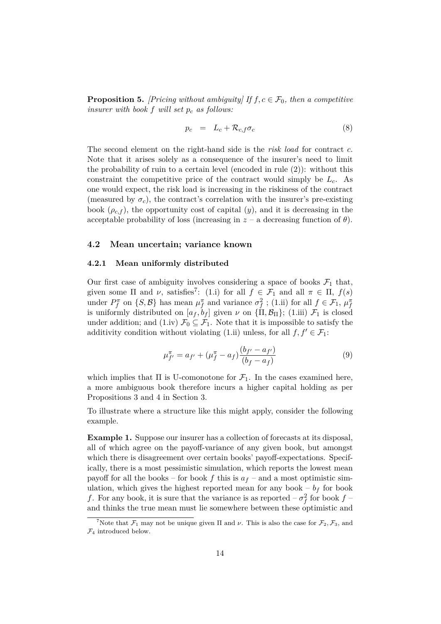**Proposition 5.** *[Pricing without ambiguity]* If  $f, c \in \mathcal{F}_0$ , then a competitive *insurer with book f will set p<sup>c</sup> as follows:*

$$
p_c = L_c + \mathcal{R}_{c,f}\sigma_c \tag{8}
$$

The second element on the right-hand side is the *risk load* for contract *c*. Note that it arises solely as a consequence of the insurer's need to limit the probability of ruin to a certain level (encoded in rule (2)): without this constraint the competitive price of the contract would simply be *Lc*. As one would expect, the risk load is increasing in the riskiness of the contract (measured by  $\sigma_c$ ), the contract's correlation with the insurer's pre-existing book  $(\rho_{c,f})$ , the opportunity cost of capital  $(y)$ , and it is decreasing in the acceptable probability of loss (increasing in  $z$  – a decreasing function of  $\theta$ ).

#### **4.2 Mean uncertain; variance known**

#### **4.2.1 Mean uniformly distributed**

Our first case of ambiguity involves considering a space of books  $\mathcal{F}_1$  that, given some  $\Pi$  and  $\nu$ , satisfies<sup>7</sup>: (1.i) for all  $f \in \mathcal{F}_1$  and all  $\pi \in \Pi$ ,  $f(s)$ under  $P_f^{\pi}$  on  $\{S, \mathcal{B}\}$  has mean  $\mu_f^{\pi}$  and variance  $\sigma_f^2$ ; (1.ii) for all  $f \in \mathcal{F}_1$ ,  $\mu_f^{\pi}$ is uniformly distributed on  $[a_f, b_f]$  given  $\nu$  on  $\{\Pi, \mathcal{B}_\Pi\}$ ; (1.iii)  $\mathcal{F}_1$  is closed under addition; and (1.iv)  $\mathcal{F}_0 \subseteq \mathcal{F}_1$ . Note that it is impossible to satisfy the additivity condition without violating (1.ii) unless, for all  $f, f' \in \mathcal{F}_1$ :

$$
\mu_{f'}^{\pi} = a_{f'} + (\mu_f^{\pi} - a_f) \frac{(b_{f'} - a_{f'})}{(b_f - a_f)}
$$
\n(9)

which implies that  $\Pi$  is U-comonotone for  $\mathcal{F}_1$ . In the cases examined here, a more ambiguous book therefore incurs a higher capital holding as per Propositions 3 and 4 in Section 3.

To illustrate where a structure like this might apply, consider the following example.

**Example 1.** Suppose our insurer has a collection of forecasts at its disposal, all of which agree on the payoff-variance of any given book, but amongst which there is disagreement over certain books' payoff-expectations. Specifically, there is a most pessimistic simulation, which reports the lowest mean payoff for all the books – for book  $f$  this is  $a_f$  – and a most optimistic simulation, which gives the highest reported mean for any book  $- b_f$  for book *f*. For any book, it is sure that the variance is as reported  $-\sigma_f^2$  for book  $f$  – and thinks the true mean must lie somewhere between these optimistic and

<sup>&</sup>lt;sup>7</sup>Note that  $\mathcal{F}_1$  may not be unique given  $\Pi$  and  $\nu$ . This is also the case for  $\mathcal{F}_2$ ,  $\mathcal{F}_3$ , and  $\mathcal{F}_4$  introduced below.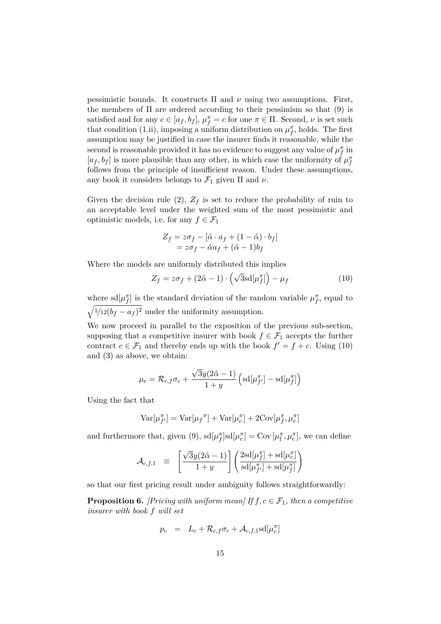pessimistic bounds. It constructs  $\Pi$  and  $\nu$  using two assumptions. First, the members of  $\Pi$  are ordered according to their pessimism so that (9) is satisfied and for any  $c \in [a_f, b_f]$ ,  $\mu_f^{\pi} = c$  for one  $\pi \in \Pi$ . Second,  $\nu$  is set such that condition (1.ii), imposing a uniform distribution on  $\mu_f^{\pi}$ , holds. The first assumption may be justified in case the insurer finds it reasonable, while the second is reasonable provided it has no evidence to suggest any value of  $\mu_f^{\pi}$  in  $[a_f, b_f]$  is more plausible than any other, in which case the uniformity of  $\mu_f^{\pi}$ follows from the principle of insufficient reason. Under these assumptions, any book it considers belongs to  $\mathcal{F}_1$  given  $\Pi$  and  $\nu$ .

Given the decision rule (2),  $Z_f$  is set to reduce the probability of ruin to an acceptable level under the weighted sum of the most pessimistic and optimistic models, i.e. for any  $f \in \mathcal{F}_1$ 

$$
Z_f = z\sigma_f - [\hat{\alpha} \cdot a_f + (1 - \hat{\alpha}) \cdot b_f]
$$
  
=  $z\sigma_f - \hat{\alpha}a_f + (\hat{\alpha} - 1)b_f$ 

Where the models are uniformly distributed this implies

$$
Z_f = z\sigma_f + (2\hat{\alpha} - 1) \cdot \left(\sqrt{3} \operatorname{sd}[\mu_f^{\pi}]\right) - \mu_f \tag{10}
$$

where  $\text{sd}[\mu_f^{\pi}]$  is the standard deviation of the random variable  $\mu_f^{\pi}$ , equal to  $\sqrt{\frac{1}{12(b_f - a_f)^2}}$  under the uniformity assumption.

We now proceed in parallel to the exposition of the previous sub-section, supposing that a competitive insurer with book  $f \in \mathcal{F}_1$  accepts the further contract  $c \in \mathcal{F}_1$  and thereby ends up with the book  $f' = f + c$ . Using (10) and (3) as above, we obtain:

$$
\mu_c = \mathcal{R}_{c,f} \sigma_c + \frac{\sqrt{3}y(2\hat{\alpha} - 1)}{1+y} \left( \text{sd}[\mu_{f'}^{\pi}] - \text{sd}[\mu_f^{\pi}] \right)
$$

Using the fact that

$$
Var[\mu_{f'}^{\pi}] = Var[\mu_f^{\pi}] + Var[\mu_c^{\pi}] + 2Cov[\mu_f^{\pi}, \mu_c^{\pi}]
$$

and furthermore that, given (9),  $sd[\mu_{f}^{\pi}] sd[\mu_{c}^{\pi}] = Cov[\mu_{f}^{\pi}, \mu_{c}^{\pi}]$ , we can define

$$
\mathcal{A}_{c,f,1} \ \ \equiv \ \ \left[\frac{\sqrt{3}y(2\hat{\alpha}-1)}{1+y}\right]\left(\frac{2\mathrm{sd}[\mu_f^\pi] + \mathrm{sd}[\mu_c^\pi]}{\mathrm{sd}[\mu_{f'}^\pi] + \mathrm{sd}[\mu_f^\pi]}\right)
$$

so that our first pricing result under ambiguity follows straightforwardly:

**Proposition 6.** *[Pricing with uniform mean]* If  $f, c \in \mathcal{F}_1$ , then a competitive *insurer with book f will set*

$$
p_c = L_c + \mathcal{R}_{c,f}\sigma_c + \mathcal{A}_{c,f,1} \text{sd}[\mu_c^{\pi}]
$$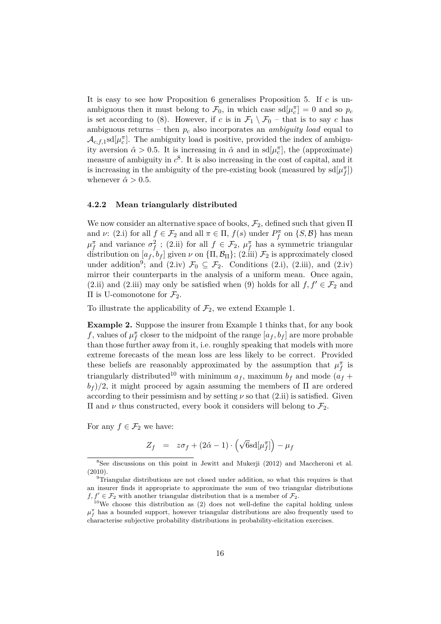It is easy to see how Proposition 6 generalises Proposition 5. If *c* is unambiguous then it must belong to  $\mathcal{F}_0$ , in which case  $sd[\mu_c^{\pi}] = 0$  and so  $p_c$ is set according to (8). However, if *c* is in  $\mathcal{F}_1 \setminus \mathcal{F}_0$  – that is to say *c* has ambiguous returns – then *p<sup>c</sup>* also incorporates an *ambiguity load* equal to  $\mathcal{A}_{c,f,1}$ sd $[\mu_c^{\pi}]$ . The ambiguity load is positive, provided the index of ambiguity aversion  $\hat{\alpha} > 0.5$ . It is increasing in  $\hat{\alpha}$  and in sd $[\mu_c^{\pi}]$ , the (approximate) measure of ambiguity in  $c^8$ . It is also increasing in the cost of capital, and it is increasing in the ambiguity of the pre-existing book (measured by  $sd[\mu_{f}^{\pi}]$ ) whenever  $\hat{\alpha} > 0.5$ .

#### **4.2.2 Mean triangularly distributed**

We now consider an alternative space of books,  $\mathcal{F}_2$ , defined such that given  $\Pi$ and *ν*: (2.i) for all  $f \in \mathcal{F}_2$  and all  $\pi \in \Pi$ ,  $f(s)$  under  $P_f^{\pi}$  on  $\{S, \mathcal{B}\}$  has mean  $\mu_f^{\pi}$  and variance  $\sigma_f^2$ ; (2.ii) for all  $f \in \mathcal{F}_2$ ,  $\mu_f^{\pi}$  has a symmetric triangular distribution on  $[a_f, b_f]$  given  $\nu$  on  $\{\Pi, \mathcal{B}_\Pi\}$ ;  $(2.iii)$   $\mathcal{F}_2$  is approximately closed under addition<sup>9</sup>; and (2.iv)  $\mathcal{F}_0 \subseteq \mathcal{F}_2$ . Conditions (2.i), (2.iii), and (2.iv) mirror their counterparts in the analysis of a uniform mean. Once again, (2.ii) and (2.iii) may only be satisfied when (9) holds for all  $f, f' \in \mathcal{F}_2$  and Π is U-comonotone for F2.

To illustrate the applicability of  $\mathcal{F}_2$ , we extend Example 1.

**Example 2.** Suppose the insurer from Example 1 thinks that, for any book *f*, values of  $\mu_f^{\pi}$  closer to the midpoint of the range  $[a_f, b_f]$  are more probable than those further away from it, i.e. roughly speaking that models with more extreme forecasts of the mean loss are less likely to be correct. Provided these beliefs are reasonably approximated by the assumption that  $\mu_f^{\pi}$  is triangularly distributed<sup>10</sup> with minimum  $a_f$ , maximum  $b_f$  and mode  $(a_f +$  $b_f$  )/2, it might proceed by again assuming the members of  $\Pi$  are ordered according to their pessimism and by setting  $\nu$  so that  $(2.ii)$  is satisfied. Given II and *ν* thus constructed, every book it considers will belong to  $\mathcal{F}_2$ .

For any  $f \in \mathcal{F}_2$  we have:

$$
Z_f = z\sigma_f + (2\hat{\alpha} - 1) \cdot (\sqrt{6} \text{sd}[\mu_f^{\pi}]) - \mu_f
$$

<sup>&</sup>lt;sup>8</sup>See discussions on this point in Jewitt and Mukerji (2012) and Maccheroni et al. (2010).

 $9$ Triangular distributions are not closed under addition, so what this requires is that an insurer finds it appropriate to approximate the sum of two triangular distributions  $f, f' \in \mathcal{F}_2$  with another triangular distribution that is a member of  $\mathcal{F}_2$ .

 $10$ We choose this distribution as  $(2)$  does not well-define the capital holding unless  $\mu_f^{\pi}$  has a bounded support, however triangular distributions are also frequently used to characterise subjective probability distributions in probability-elicitation exercises.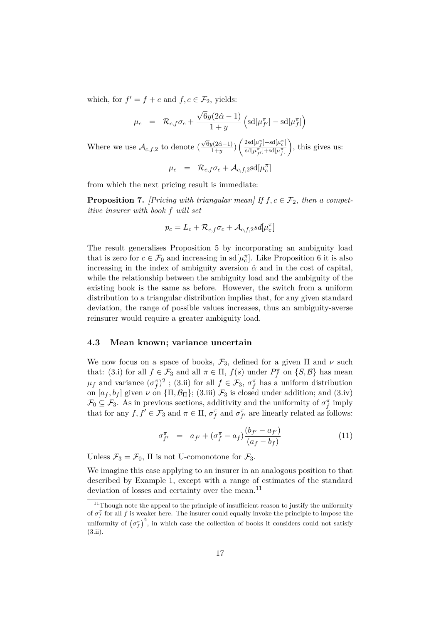which, for  $f' = f + c$  and  $f, c \in \mathcal{F}_2$ , yields:

$$
\mu_c = \mathcal{R}_{c,f} \sigma_c + \frac{\sqrt{6}y(2\hat{\alpha} - 1)}{1+y} \left( \text{sd}[\mu_{f'}^{\pi}] - \text{sd}[\mu_f^{\pi}] \right)
$$

Where we use  $\mathcal{A}_{c,f,2}$  to denote (  $\sqrt{6}y(2\hat{\alpha}-1)$  $\left(\frac{2\hat{\alpha}-1}{1+y}\right)\left(\frac{2sd[\mu_f^{\pi}]+sd[\mu_c^{\pi}]}{sd[\mu_{c}^{\pi}]+sd[\mu_f^{\pi}]} \right)$  $\mathrm{sd}[\mu_{f'}^{\pi}] + \mathrm{sd}[\mu_f^{\pi}]$ , this gives us:

 $\mu_c$  =  $\mathcal{R}_{c,f}\sigma_c + \mathcal{A}_{c,f,2}$ sd $[\mu_c^{\pi}]$ 

from which the next pricing result is immediate:

**Proposition 7.** *[Pricing with triangular mean]* If  $f, c \in \mathcal{F}_2$ , then a compet*itive insurer with book f will set*

$$
p_c = L_c + \mathcal{R}_{c,f} \sigma_c + \mathcal{A}_{c,f,2} sd[\mu_c^{\pi}]
$$

The result generalises Proposition 5 by incorporating an ambiguity load that is zero for  $c \in \mathcal{F}_0$  and increasing in  $sd[\mu_c^{\pi}]$ . Like Proposition 6 it is also increasing in the index of ambiguity aversion  $\hat{\alpha}$  and in the cost of capital, while the relationship between the ambiguity load and the ambiguity of the existing book is the same as before. However, the switch from a uniform distribution to a triangular distribution implies that, for any given standard deviation, the range of possible values increases, thus an ambiguity-averse reinsurer would require a greater ambiguity load.

#### **4.3 Mean known; variance uncertain**

We now focus on a space of books,  $\mathcal{F}_3$ , defined for a given  $\Pi$  and  $\nu$  such that: (3.i) for all  $f \in \mathcal{F}_3$  and all  $\pi \in \Pi$ ,  $f(s)$  under  $P_f^{\pi}$  on  $\{S, \mathcal{B}\}$  has mean  $\mu_f$  and variance  $(\sigma_f^{\pi})^2$ ; (3.ii) for all  $f \in \mathcal{F}_3$ ,  $\sigma_f^{\pi}$  has a uniform distribution on  $[a_f, b_f]$  given  $\nu$  on  $\{\Pi, \mathcal{B}_\Pi\}$ ; (3.iii)  $\mathcal{F}_3$  is closed under addition; and (3.iv)  $\mathcal{F}_0 \subseteq \mathcal{F}_3$ . As in previous sections, additivity and the uniformity of  $\sigma_f^{\pi}$  imply that for any  $f, f' \in \mathcal{F}_3$  and  $\pi \in \Pi$ ,  $\sigma_f^{\pi}$  and  $\sigma_{f'}^{\pi}$  are linearly related as follows:

$$
\sigma_{f'}^{\pi} = a_{f'} + (\sigma_f^{\pi} - a_f) \frac{(b_{f'} - a_{f'})}{(a_f - b_f)}
$$
(11)

Unless  $\mathcal{F}_3 = \mathcal{F}_0$ ,  $\Pi$  is not U-comonotone for  $\mathcal{F}_3$ .

We imagine this case applying to an insurer in an analogous position to that described by Example 1, except with a range of estimates of the standard deviation of losses and certainty over the mean.<sup>11</sup>

 $11$ Though note the appeal to the principle of insufficient reason to justify the uniformity of  $\sigma_f^{\pi}$  for all *f* is weaker here. The insurer could equally invoke the principle to impose the uniformity of  $(\sigma_f^{\pi})^2$ , in which case the collection of books it considers could not satisfy (3.ii).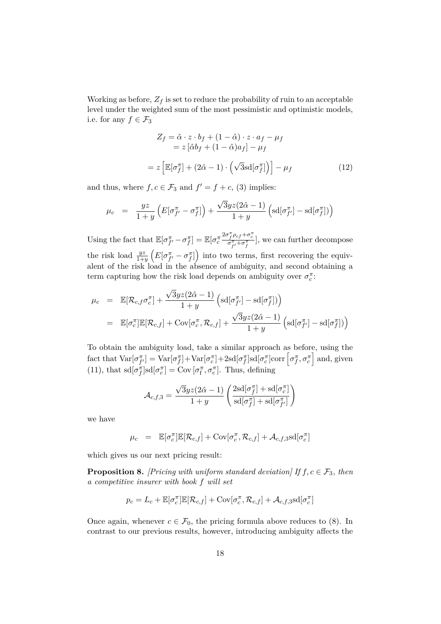Working as before,  $Z_f$  is set to reduce the probability of ruin to an acceptable level under the weighted sum of the most pessimistic and optimistic models, i.e. for any  $f \in \mathcal{F}_3$ 

$$
Z_f = \hat{\alpha} \cdot z \cdot b_f + (1 - \hat{\alpha}) \cdot z \cdot a_f - \mu_f
$$
  
=  $z \left[ \hat{\alpha} b_f + (1 - \hat{\alpha}) a_f \right] - \mu_f$   
=  $z \left[ \mathbb{E} [\sigma_f^{\pi}] + (2\hat{\alpha} - 1) \cdot \left( \sqrt{3} \text{sd} [\sigma_f^{\pi}] \right) \right] - \mu_f$  (12)

and thus, where  $f, c \in \mathcal{F}_3$  and  $f' = f + c$ , (3) implies:

$$
\mu_c = \frac{yz}{1+y} \left( E[\sigma_{f'}^{\pi} - \sigma_f^{\pi}] \right) + \frac{\sqrt{3}yz(2\hat{\alpha} - 1)}{1+y} \left( sd[\sigma_{f'}^{\pi}] - sd[\sigma_f^{\pi}] \right)
$$

Using the fact that  $\mathbb{E}[\sigma_{f'}^{\pi} - \sigma_f^{\pi}] = \mathbb{E}[\sigma_c^{\pi}]$  $\frac{2\sigma_f^{\pi} \rho_{cf} + \sigma_c^{\pi}}{\sigma_{f'}^{\pi} + \sigma_f^{\pi}}$ , we can further decompose the risk load  $\frac{yz}{1+y}\left(E[\sigma_{f'}^{\pi} - \sigma_f^{\pi}]\right)$  into two terms, first recovering the equivalent of the risk load in the absence of ambiguity, and second obtaining a term capturing how the risk load depends on ambiguity over  $\sigma_c^{\pi}$ :

$$
\mu_c = \mathbb{E}[\mathcal{R}_{c,f}\sigma_c^{\pi}] + \frac{\sqrt{3}yz(2\hat{\alpha}-1)}{1+y} \left(\mathrm{sd}[\sigma_{f'}^{\pi}] - \mathrm{sd}[\sigma_f^{\pi}])\right)
$$
  
\n
$$
= \mathbb{E}[\sigma_c^{\pi}]\mathbb{E}[\mathcal{R}_{c,f}] + \mathrm{Cov}[\sigma_c^{\pi}, \mathcal{R}_{c,f}] + \frac{\sqrt{3}yz(2\hat{\alpha}-1)}{1+y} \left(\mathrm{sd}[\sigma_{f'}^{\pi}] - \mathrm{sd}[\sigma_f^{\pi}])\right)
$$

To obtain the ambiguity load, take a similar approach as before, using the  $\text{fact that } \text{Var}[\sigma_{f'}^{\pi}] = \text{Var}[\sigma_f^{\pi}] + \text{Var}[\sigma_c^{\pi}] + 2 \text{sd}[\sigma_f^{\pi}] \text{sd}[\sigma_c^{\pi}] \text{corr}\left[\sigma_f^{\pi}, \sigma_c^{\pi}\right] \text{and, given}$ (11), that  $sd[\sigma_{f}^{\pi}] sd[\sigma_{c}^{\pi}] = Cov[\sigma_{f}^{\pi}, \sigma_{c}^{\pi}]$ . Thus, defining

$$
\mathcal{A}_{c,f,3} = \frac{\sqrt{3}yz(2\hat{\alpha}-1)}{1+y}\left(\frac{2\mathrm{sd}[\sigma_f^\pi] + \mathrm{sd}[\sigma_c^\pi]}{\mathrm{sd}[\sigma_f^\pi] + \mathrm{sd}[\sigma_{f'}^\pi]}\right)
$$

we have

$$
\mu_c = \mathbb{E}[\sigma_c^{\pi}] \mathbb{E}[\mathcal{R}_{c,f}] + \text{Cov}[\sigma_c^{\pi}, \mathcal{R}_{c,f}] + \mathcal{A}_{c,f,3} \text{sd}[\sigma_c^{\pi}]
$$

which gives us our next pricing result:

**Proposition 8.** *[Pricing with uniform standard deviation]* If  $f, c \in \mathcal{F}_3$ , then *a competitive insurer with book f will set*

$$
p_c = L_c + \mathbb{E}[\sigma_c^{\pi}] \mathbb{E}[\mathcal{R}_{c,f}] + \text{Cov}[\sigma_c^{\pi}, \mathcal{R}_{c,f}] + \mathcal{A}_{c,f,3} \text{sd}[\sigma_c^{\pi}]
$$

Once again, whenever  $c \in \mathcal{F}_0$ , the pricing formula above reduces to (8). In contrast to our previous results, however, introducing ambiguity affects the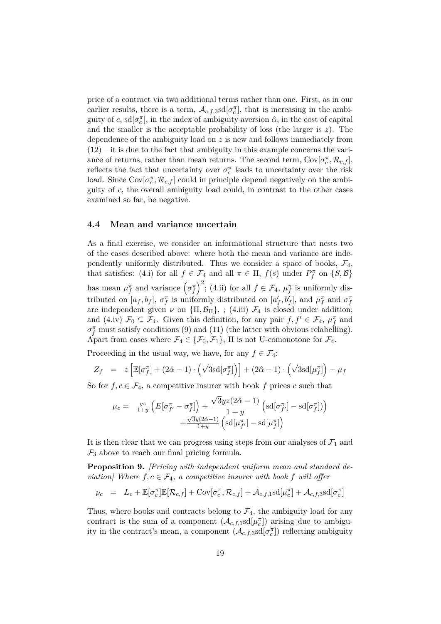price of a contract via two additional terms rather than one. First, as in our earlier results, there is a term,  $\mathcal{A}_{c,f,3}$ sd $[\sigma_c^{\pi}]$ , that is increasing in the ambiguity of *c*,  $sd[\sigma_c^{\pi}]$ , in the index of ambiguity aversion  $\hat{\alpha}$ , in the cost of capital and the smaller is the acceptable probability of loss (the larger is *z*). The dependence of the ambiguity load on *z* is new and follows immediately from  $(12)$  – it is due to the fact that ambiguity in this example concerns the variance of returns, rather than mean returns. The second term,  $Cov[\sigma_c^{\pi}, \mathcal{R}_{c,f}]$ , reflects the fact that uncertainty over  $\sigma_c^{\pi}$  leads to uncertainty over the risk load. Since  $Cov[\sigma_c^{\pi}, \mathcal{R}_{c,f}]$  could in principle depend negatively on the ambiguity of *c*, the overall ambiguity load could, in contrast to the other cases examined so far, be negative.

#### **4.4 Mean and variance uncertain**

As a final exercise, we consider an informational structure that nests two of the cases described above: where both the mean and variance are independently uniformly distributed. Thus we consider a space of books,  $\mathcal{F}_4$ , that satisfies: (4.i) for all  $f \in \mathcal{F}_4$  and all  $\pi \in \Pi$ ,  $f(s)$  under  $P_f^{\pi}$  on  $\{S, \mathcal{B}\}\$ has mean  $\mu_f^{\pi}$  and variance  $(\sigma_f^{\pi})^2$ ; (4.ii) for all  $f \in \mathcal{F}_4$ ,  $\mu_f^{\pi}$  is uniformly distributed on  $[a_f, b_f]$ ,  $\sigma_f^{\pi}$  is uniformly distributed on  $[a'_f, b'_f]$ , and  $\mu_f^{\pi}$  and  $\sigma_f^{\pi}$ are independent given  $\nu$  on  ${\{\Pi, \mathcal{B}_{\Pi}\}}$ , ; (4.iii)  $\mathcal{F}_4$  is closed under addition; and (4.iv)  $\mathcal{F}_0 \subseteq \mathcal{F}_4$ . Given this definition, for any pair  $f, f' \in \mathcal{F}_4$ ,  $\mu_f^{\pi}$  and  $\sigma_f^{\pi}$  must satisfy conditions (9) and (11) (the latter with obvious relabelling). Apart from cases where  $\mathcal{F}_4 \in \{\mathcal{F}_0, \mathcal{F}_1\}$ ,  $\Pi$  is not U-comonotone for  $\mathcal{F}_4$ .

Proceeding in the usual way, we have, for any  $f \in \mathcal{F}_4$ :

$$
Z_f = z \left[ \mathbb{E}[\sigma_f^{\pi}] + (2\hat{\alpha} - 1) \cdot (\sqrt{3} \text{sd}[\sigma_f^{\pi}] \right) + (2\hat{\alpha} - 1) \cdot (\sqrt{3} \text{sd}[\mu_f^{\pi}] \right) - \mu_f
$$

So for  $f, c \in \mathcal{F}_4$ , a competitive insurer with book f prices c such that

$$
\mu_c = \frac{yz}{1+y} \left( E[\sigma_{f'}^{\pi} - \sigma_f^{\pi}] \right) + \frac{\sqrt{3}yz(2\hat{\alpha} - 1)}{1+y} \left( \mathrm{sd}[\sigma_{f'}^{\pi}] - \mathrm{sd}[\sigma_f^{\pi}] \right) + \frac{\sqrt{3}y(2\hat{\alpha} - 1)}{1+y} \left( \mathrm{sd}[\mu_{f'}^{\pi}] - \mathrm{sd}[\mu_{f}^{\pi}] \right)
$$

It is then clear that we can progress using steps from our analyses of  $\mathcal{F}_1$  and  $\mathcal{F}_3$  above to reach our final pricing formula.

**Proposition 9.** *[Pricing with independent uniform mean and standard deviation]* Where  $f, c \in \mathcal{F}_4$ , a competitive insurer with book f will offer

$$
p_c \hspace{2mm} = \hspace{2mm} L_c + \mathbb{E}[\sigma_c^{\pi}] \mathbb{E}[\mathcal{R}_{c,f}] + \text{Cov}[\sigma_c^{\pi}, \mathcal{R}_{c,f}] + \mathcal{A}_{c,f,1} \text{sd}[\mu_c^{\pi}] + \mathcal{A}_{c,f,3} \text{sd}[\sigma_c^{\pi}]
$$

Thus, where books and contracts belong to  $\mathcal{F}_4$ , the ambiguity load for any contract is the sum of a component  $(\mathcal{A}_{c,f,1} \text{sd}[\mu_c^{\pi}])$  arising due to ambiguity in the contract's mean, a component  $(A_{c,f,3} \text{sd}[\sigma_c^{\pi}])$  reflecting ambiguity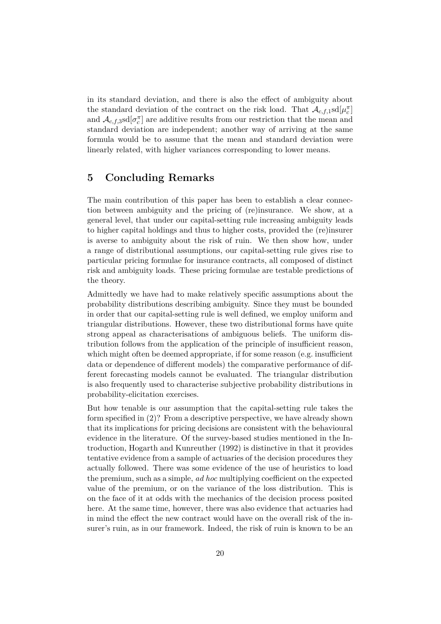in its standard deviation, and there is also the effect of ambiguity about the standard deviation of the contract on the risk load. That  $\mathcal{A}_{c,f,1}$ sd $[\mu_c^{\pi}]$ and  $\mathcal{A}_{c,f,3}$ sd $[\sigma_c^{\pi}]$  are additive results from our restriction that the mean and standard deviation are independent; another way of arriving at the same formula would be to assume that the mean and standard deviation were linearly related, with higher variances corresponding to lower means.

## **5 Concluding Remarks**

The main contribution of this paper has been to establish a clear connection between ambiguity and the pricing of (re)insurance. We show, at a general level, that under our capital-setting rule increasing ambiguity leads to higher capital holdings and thus to higher costs, provided the (re)insurer is averse to ambiguity about the risk of ruin. We then show how, under a range of distributional assumptions, our capital-setting rule gives rise to particular pricing formulae for insurance contracts, all composed of distinct risk and ambiguity loads. These pricing formulae are testable predictions of the theory.

Admittedly we have had to make relatively specific assumptions about the probability distributions describing ambiguity. Since they must be bounded in order that our capital-setting rule is well defined, we employ uniform and triangular distributions. However, these two distributional forms have quite strong appeal as characterisations of ambiguous beliefs. The uniform distribution follows from the application of the principle of insufficient reason, which might often be deemed appropriate, if for some reason (e.g. insufficient data or dependence of different models) the comparative performance of different forecasting models cannot be evaluated. The triangular distribution is also frequently used to characterise subjective probability distributions in probability-elicitation exercises.

But how tenable is our assumption that the capital-setting rule takes the form specified in (2)? From a descriptive perspective, we have already shown that its implications for pricing decisions are consistent with the behavioural evidence in the literature. Of the survey-based studies mentioned in the Introduction, Hogarth and Kunreuther (1992) is distinctive in that it provides tentative evidence from a sample of actuaries of the decision procedures they actually followed. There was some evidence of the use of heuristics to load the premium, such as a simple, *ad hoc* multiplying coefficient on the expected value of the premium, or on the variance of the loss distribution. This is on the face of it at odds with the mechanics of the decision process posited here. At the same time, however, there was also evidence that actuaries had in mind the effect the new contract would have on the overall risk of the insurer's ruin, as in our framework. Indeed, the risk of ruin is known to be an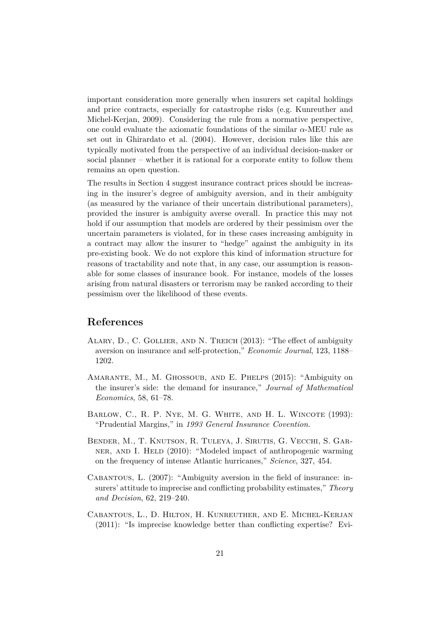important consideration more generally when insurers set capital holdings and price contracts, especially for catastrophe risks (e.g. Kunreuther and Michel-Kerjan, 2009). Considering the rule from a normative perspective, one could evaluate the axiomatic foundations of the similar *α*-MEU rule as set out in Ghirardato et al. (2004). However, decision rules like this are typically motivated from the perspective of an individual decision-maker or social planner – whether it is rational for a corporate entity to follow them remains an open question.

The results in Section 4 suggest insurance contract prices should be increasing in the insurer's degree of ambiguity aversion, and in their ambiguity (as measured by the variance of their uncertain distributional parameters), provided the insurer is ambiguity averse overall. In practice this may not hold if our assumption that models are ordered by their pessimism over the uncertain parameters is violated, for in these cases increasing ambiguity in a contract may allow the insurer to "hedge" against the ambiguity in its pre-existing book. We do not explore this kind of information structure for reasons of tractability and note that, in any case, our assumption is reasonable for some classes of insurance book. For instance, models of the losses arising from natural disasters or terrorism may be ranked according to their pessimism over the likelihood of these events.

## **References**

- Alary, D., C. Gollier, and N. Treich (2013): "The effect of ambiguity aversion on insurance and self-protection," *Economic Journal*, 123, 1188– 1202.
- Amarante, M., M. Ghossoub, and E. Phelps (2015): "Ambiguity on the insurer's side: the demand for insurance," *Journal of Mathematical Economics*, 58, 61–78.
- BARLOW, C., R. P. NYE, M. G. WHITE, AND H. L. WINCOTE (1993): "Prudential Margins," in *1993 General Insurance Covention*.
- Bender, M., T. Knutson, R. Tuleya, J. Sirutis, G. Vecchi, S. Garner, and I. Held (2010): "Modeled impact of anthropogenic warming on the frequency of intense Atlantic hurricanes," *Science*, 327, 454.
- Cabantous, L. (2007): "Ambiguity aversion in the field of insurance: insurers' attitude to imprecise and conflicting probability estimates," *Theory and Decision*, 62, 219–240.
- Cabantous, L., D. Hilton, H. Kunreuther, and E. Michel-Kerjan (2011): "Is imprecise knowledge better than conflicting expertise? Evi-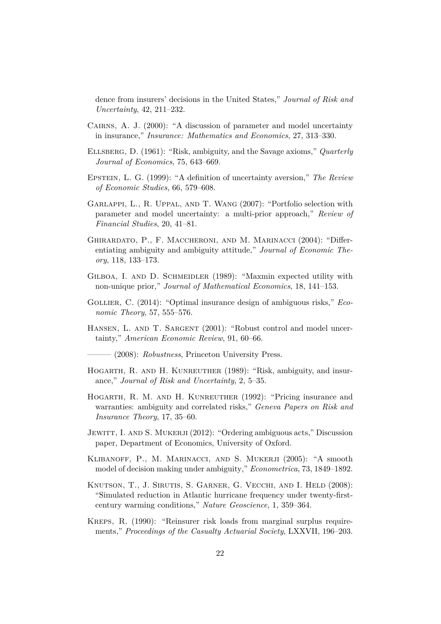dence from insurers' decisions in the United States," *Journal of Risk and Uncertainty*, 42, 211–232.

- CAIRNS, A. J. (2000): "A discussion of parameter and model uncertainty in insurance," *Insurance: Mathematics and Economics*, 27, 313–330.
- Ellsberg, D. (1961): "Risk, ambiguity, and the Savage axioms," *Quarterly Journal of Economics*, 75, 643–669.
- Epstein, L. G. (1999): "A definition of uncertainty aversion," *The Review of Economic Studies*, 66, 579–608.
- Garlappi, L., R. Uppal, and T. Wang (2007): "Portfolio selection with parameter and model uncertainty: a multi-prior approach," *Review of Financial Studies*, 20, 41–81.
- Ghirardato, P., F. Maccheroni, and M. Marinacci (2004): "Differentiating ambiguity and ambiguity attitude," *Journal of Economic Theory*, 118, 133–173.
- GILBOA, I. AND D. SCHMEIDLER (1989): "Maxmin expected utility with non-unique prior," *Journal of Mathematical Economics*, 18, 141–153.
- GOLLIER, C. (2014): "Optimal insurance design of ambiguous risks," *Economic Theory*, 57, 555–576.
- HANSEN, L. AND T. SARGENT (2001): "Robust control and model uncertainty," *American Economic Review*, 91, 60–66.

——— (2008): *Robustness*, Princeton University Press.

- HOGARTH, R. AND H. KUNREUTHER (1989): "Risk, ambiguity, and insurance," *Journal of Risk and Uncertainty*, 2, 5–35.
- Hogarth, R. M. and H. Kunreuther (1992): "Pricing insurance and warranties: ambiguity and correlated risks," *Geneva Papers on Risk and Insurance Theory*, 17, 35–60.
- JEWITT, I. AND S. MUKERJI (2012): "Ordering ambiguous acts," Discussion paper, Department of Economics, University of Oxford.
- Klibanoff, P., M. Marinacci, and S. Mukerji (2005): "A smooth model of decision making under ambiguity," *Econometrica*, 73, 1849–1892.
- KNUTSON, T., J. SIRUTIS, S. GARNER, G. VECCHI, AND I. HELD (2008): "Simulated reduction in Atlantic hurricane frequency under twenty-firstcentury warming conditions," *Nature Geoscience*, 1, 359–364.
- Kreps, R. (1990): "Reinsurer risk loads from marginal surplus requirements," *Proceedings of the Casualty Actuarial Society*, LXXVII, 196–203.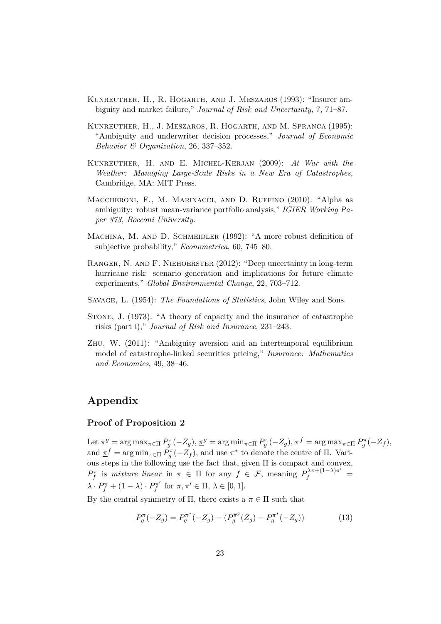- Kunreuther, H., R. Hogarth, and J. Meszaros (1993): "Insurer ambiguity and market failure," *Journal of Risk and Uncertainty*, 7, 71–87.
- Kunreuther, H., J. Meszaros, R. Hogarth, and M. Spranca (1995): "Ambiguity and underwriter decision processes," *Journal of Economic Behavior & Organization*, 26, 337–352.
- Kunreuther, H. and E. Michel-Kerjan (2009): *At War with the Weather: Managing Large-Scale Risks in a New Era of Catastrophes*, Cambridge, MA: MIT Press.
- MACCHERONI, F., M. MARINACCI, AND D. RUFFINO (2010): "Alpha as ambiguity: robust mean-variance portfolio analysis," *IGIER Working Paper 373, Bocconi University*.
- MACHINA, M. AND D. SCHMEIDLER (1992): "A more robust definition of subjective probability," *Econometrica*, 60, 745–80.
- Ranger, N. and F. Niehoerster (2012): "Deep uncertainty in long-term hurricane risk: scenario generation and implications for future climate experiments," *Global Environmental Change*, 22, 703–712.
- Savage, L. (1954): *The Foundations of Statistics*, John Wiley and Sons.
- Stone, J. (1973): "A theory of capacity and the insurance of catastrophe risks (part i)," *Journal of Risk and Insurance*, 231–243.
- Zhu, W. (2011): "Ambiguity aversion and an intertemporal equilibrium model of catastrophe-linked securities pricing," *Insurance: Mathematics and Economics*, 49, 38–46.

## **Appendix**

#### **Proof of Proposition 2**

Let  $\overline{\pi}^g$  = arg max<sub> $\pi \in \Pi$ </sub>  $P_g^{\pi}(-Z_g)$ ,  $\underline{\pi}^g$  = arg min $\pi \in \Pi$   $P_g^{\pi}(-Z_g)$ ,  $\overline{\pi}^f$  = arg max $\pi \in \Pi$   $P_g^{\pi}(-Z_f)$ , and  $\underline{\pi}^f = \arg \min_{\pi \in \Pi} P_g^{\pi}(-Z_f)$ , and use  $\pi^*$  to denote the centre of  $\Pi$ . Various steps in the following use the fact that, given Π is compact and convex, *P*<sup> $\pi$ </sup> is *mixture linear* in  $\pi \in \Pi$  for any  $f \in \mathcal{F}$ , meaning  $P_f^{\lambda \pi + (1-\lambda)\pi'}$  $\lambda \cdot P_f^{\pi} + (1 - \lambda) \cdot P_f^{\pi'}$  $f_f^{\pi'}$  for  $\pi, \pi' \in \Pi, \ \lambda \in [0, 1].$ 

By the central symmetry of  $\Pi$ , there exists a  $\pi \in \Pi$  such that

$$
P_g^{\pi}(-Z_g) = P_g^{\pi^*}(-Z_g) - (P_g^{\overline{\pi}^g}(Z_g) - P_g^{\pi^*}(-Z_g))
$$
\n(13)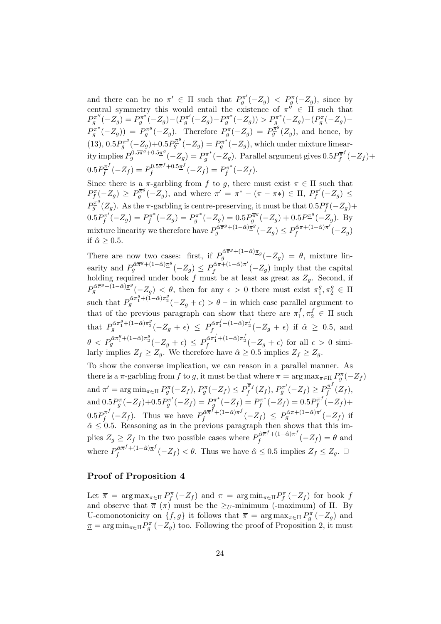and there can be no  $\pi' \in \Pi$  such that  $P_g^{\pi'}(-Z_g) < P_g^{\pi}(-Z_g)$ , since by central symmetry this would entail the existence of  $\pi^{\tilde{\theta}} \in \Pi$  such that  $P_g^{\pi''}(-Z_g) = P_g^{\pi^*}(-Z_g) - (P_g^{\pi'}(-Z_g) - P_g^{\pi^*}(-Z_g)) > P_g^{\pi^*}(-Z_g) - (P_g^{\pi}(-Z_g) P_g^{\pi^*}(-Z_g)$ ) =  $P_g^{\overline{\pi}g}$  $g_g^{\overline{\pi}g}(-Z_g)$ . Therefore  $P_g^{\pi}(-Z_g) = P_g^{\overline{\pi}g}(Z_g)$ , and hence, by  $(13), 0.5P_{q}^{\overline{\pi}^{g}}$  $g_g^{\overline{\pi}^g}(-Z_g) + 0.5P_g^{\overline{\pi}^g}(-Z_g) = P_g^{\pi^*}(-Z_g)$ , which under mixture limear- $P_g^{0.5\overline{\pi}^{\widetilde{g}}+0.5\overline{\pi}^g}(-Z_g) = P_g^{\pi^*}(-Z_g)$ . Parallel argument gives  $0.5P_f^{\overline{\pi}^f}$  $P_f^{\overline{\pi}^J}(-Z_f) +$  $0.5P_f^{\pi^f}$  $P_f^{\pi^f}(-Z_f) = P_f^{0.5\overline{\pi}^f + 0.5\underline{\pi}^f}$  $P_f^{0.5\overline{\pi}^f+0.5\underline{\pi}^f}(-Z_f)=P_f^{\pi^*}$  $f_f^{\pi^*}(-Z_f).$ 

Since there is a  $\pi$ -garbling from *f* to *g*, there must exist  $\pi \in \Pi$  such that  $P_f^{\pi}(-Z_g) \ge P_g^{\overline{\pi}^g}$  $g_{g}^{\overline{\pi}g}(-Z_{g}),$  and where  $\pi' = \pi^{*} - (\pi - \pi^{*}) \in \Pi, P_{f}^{\pi'}$  $f^{\pi'}(-Z_g) \leq$  $P_g^{\overline{\pi}^g}(Z_g)$ . As the *π*-garbling is centre-preserving, it must be that  $0.5P_f^{\pi}(-Z_g)$ +  $0.5P_f^{\pi'}$  $P_f^{\pi'}(-Z_g) = P_f^{\pi^*}$  $P_f^{\pi^*}(-Z_g) = P_g^{\pi^*}(-Z_g) = 0.5 P_g^{\overline{\pi}g}$  $g_g^{\overline{\pi}^g}(-Z_g) + 0.5P^{\underline{\pi}^g}(-Z_g)$ . By  $\max_{f} P_g^{\hat{\alpha}\pi^g + (1-\hat{\alpha})\pi^g}(-Z_g) \leq P_f^{\hat{\alpha}\pi + (1-\hat{\alpha})\pi^g}$  $\int_{f}^{\alpha \pi + (1-\alpha)\pi} (-Z_g)$ if  $\hat{\alpha} \geq 0.5$ .

There are now two cases: first, if  $P_g^{\hat{\alpha}\pi^g+(1-\hat{\alpha})\pi_g}(-Z_g) = \theta$ , mixture linearity and  $P_g^{\hat{\alpha}\pi^g + (1-\hat{\alpha})\pi^g}(-Z_g) \leq P_f^{\hat{\alpha}\pi + (1-\hat{\alpha})\pi^g}$  $\int_{f}^{\alpha \pi + (1-\alpha)\pi} (-Z_g)$  imply that the capital holding required under book *f* must be at least as great as  $Z_g$ . Second, if  $P_g^{\hat{\alpha}\pi^g + (1-\hat{\alpha})\pi^g}(-Z_g) < \theta$ , then for any  $\epsilon > 0$  there must exist  $\pi_1^g$  $\pi_1^g, \pi_2^g \in \Pi$ such that  $P_g^{\hat{\alpha}\pi_1^g + (1-\hat{\alpha})\pi_2^g}(-Z_g + \epsilon) > \theta$  – in which case parallel argument to that of the previous paragraph can show that there are  $\pi_1^f$  $\pi_1^f, \pi_2^f \in \Pi$  such that  $P_g^{\hat{\alpha}\pi_1^g + (1-\hat{\alpha})\pi_2^g}(-Z_g + \epsilon) \le P_f^{\hat{\alpha}\pi_1^f + (1-\hat{\alpha})\pi_2^f}(-Z_g + \epsilon)$  if  $\hat{\alpha} \ge 0.5$ , and  $\theta < P_g^{\hat{\alpha}\pi_1^g + (1-\hat{\alpha})\pi_2^g}(-Z_g + \epsilon) \leq P_f^{\hat{\alpha}\pi_1^f + (1-\hat{\alpha})\pi_2^f}(-Z_g + \epsilon) \text{ for all } \epsilon > 0 \text{ simi-}$ larly implies  $Z_f \geq Z_g$ . We therefore have  $\hat{\alpha} \geq 0.5$  implies  $Z_f \geq Z_g$ .

To show the converse implication, we can reason in a parallel manner. As there is a  $\pi$ -garbling from *f* to *g*, it must be that where  $\pi = \arg \max_{\pi \in \Pi} P_g^{\pi}(-Z_f)$ and  $\pi' = \arg \min_{\pi \in \Pi} P_g^{\pi}(-Z_f), P_g^{\pi}(-Z_f) \leq P_f^{\overline{\pi}_f}$  $P_f^{\overline{\pi}_f}(Z_f), P_g^{\pi'}(-Z_f) \geq P_f^{\pi^f}$  $\int\!\!\frac{d^{n}y}{f}\left(Z_{f}\right),$ and  $0.5P_g^{\pi}(-Z_f)+0.5P_g^{\pi'}(-Z_f)=P_g^{\pi^*}(-Z_f)=P_f^{\pi^*}$  $P_f^{\pi^*}(-Z_f)=0.5P_f^{\overline{\pi}^f}$  $P_f^{\overline{\pi}^J}(-Z_f) +$  $0.5P_f^{\pi^f}$  $P_f^{\pi^f}(-Z_f)$ . Thus we have  $P_f^{\hat{\alpha}\overline{\pi}^f+(1-\hat{\alpha})\underline{\pi}^f}$  $f_f^{\hat{\alpha} \overline{\pi}^f + (1-\hat{\alpha}) \underline{\pi}^f}(-Z_f) \leq P_g^{\hat{\alpha} \pi + (1-\hat{\alpha}) \pi'}(-Z_f)$  if  $\hat{\alpha} \leq 0.5$ . Reasoning as in the previous paragraph then shows that this implies  $Z_g \geq Z_f$  in the two possible cases where  $P_f^{\hat{\alpha}\pi^f + (1-\hat{\alpha})\pi^f}$  $\int_{f}^{\alpha \pi^{\gamma} + (1-\alpha)\pi^{\gamma}} (-Z_f) = \theta$  and where  $P_f^{\hat{\alpha}\pi^f + (1-\hat{\alpha})\pi^f}$  $f_f^{\alpha\pi\sigma + (1-\alpha)\pi\sigma}(-Z_f) < \theta$ . Thus we have  $\hat{\alpha} \leq 0.5$  implies  $Z_f \leq Z_g$ .  $\Box$ 

#### **Proof of Proposition 4**

Let  $\bar{\pi}$  = arg max<sub> $\pi \in \Pi$ </sub>  $P_f^{\pi}(-Z_f)$  and  $\underline{\pi}$  = arg min<sub> $\pi \in \Pi$ </sub>  $P_f^{\pi}(-Z_f)$  for book *f* and observe that  $\bar{\pi}$  ( $\bar{\pi}$ ) must be the  $\geq_U$ -minimum (-maximum) of  $\Pi$ . By U-comonotonicity on  $\{f, g\}$  it follows that  $\bar{\pi} = \arg \max_{\pi \in \Pi} P_g^{\pi}(-Z_g)$  and  $\underline{\pi} = \arg \min_{\pi \in \Pi} P_g^{\pi}(-Z_g)$  too. Following the proof of Proposition 2, it must